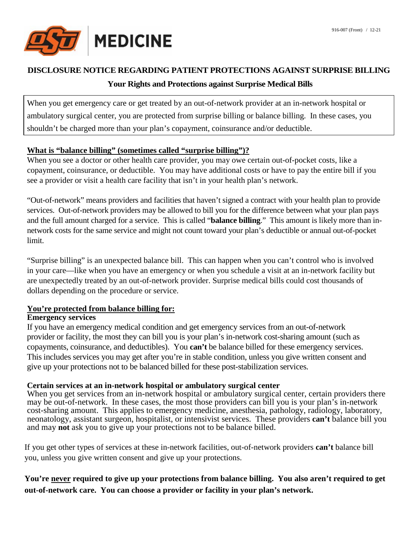

# **DISCLOSURE NOTICE REGARDING PATIENT PROTECTIONS AGAINST SURPRISE BILLING**

#### **Your Rights and Protections against Surprise Medical Bills**

When you get emergency care or get treated by an out-of-network provider at an in-network hospital or ambulatory surgical center, you are protected from surprise billing or balance billing. In these cases, you shouldn't be charged more than your plan's copayment, coinsurance and/or deductible.

#### **What is "balance billing" (sometimes called "surprise billing")?**

When you see a doctor or other health care provider, you may owe certain out-of-pocket costs, like a copayment, coinsurance, or deductible. You may have additional costs or have to pay the entire bill if you see a provider or visit a health care facility that isn't in your health plan's network.

"Out-of-network" means providers and facilities that haven't signed a contract with your health plan to provide services. Out-of-network providers may be allowed to bill you for the difference between what your plan pays and the full amount charged for a service. This is called "**balance billing**." This amount is likely more than innetwork costs for the same service and might not count toward your plan's deductible or annual out-of-pocket limit.

"Surprise billing" is an unexpected balance bill. This can happen when you can't control who is involved in your care—like when you have an emergency or when you schedule a visit at an in-network facility but are unexpectedly treated by an out-of-network provider. Surprise medical bills could cost thousands of dollars depending on the procedure or service.

### **You're protected from balance billing for:**

#### **Emergency services**

If you have an emergency medical condition and get emergency services from an out-of-network provider or facility, the most they can bill you is your plan's in-network cost-sharing amount (such as copayments, coinsurance, and deductibles). You **can't** be balance billed for these emergency services. This includes services you may get after you're in stable condition, unless you give written consent and give up your protections not to be balanced billed for these post-stabilization services.

#### **Certain services at an in-network hospital or ambulatory surgical center**

When you get services from an in-network hospital or ambulatory surgical center, certain providers there may be out-of-network. In these cases, the most those providers can bill you is your plan's in-network cost-sharing amount. This applies to emergency medicine, anesthesia, pathology, radiology, laboratory, neonatology, assistant surgeon, hospitalist, or intensivist services. These providers **can't** balance bill you and may **not** ask you to give up your protections not to be balance billed.

If you get other types of services at these in-network facilities, out-of-network providers **can't** balance bill you, unless you give written consent and give up your protections.

## **You're never required to give up your protections from balance billing. You also aren't required to get out-of-network care. You can choose a provider or facility in your plan's network.**